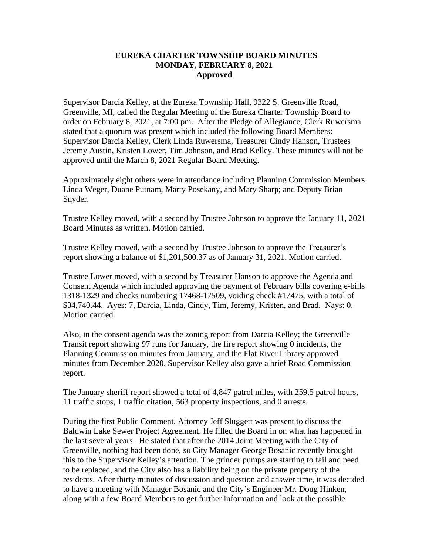## **EUREKA CHARTER TOWNSHIP BOARD MINUTES MONDAY, FEBRUARY 8, 2021 Approved**

Supervisor Darcia Kelley, at the Eureka Township Hall, 9322 S. Greenville Road, Greenville, MI, called the Regular Meeting of the Eureka Charter Township Board to order on February 8, 2021, at 7:00 pm. After the Pledge of Allegiance, Clerk Ruwersma stated that a quorum was present which included the following Board Members: Supervisor Darcia Kelley, Clerk Linda Ruwersma, Treasurer Cindy Hanson, Trustees Jeremy Austin, Kristen Lower, Tim Johnson, and Brad Kelley. These minutes will not be approved until the March 8, 2021 Regular Board Meeting.

Approximately eight others were in attendance including Planning Commission Members Linda Weger, Duane Putnam, Marty Posekany, and Mary Sharp; and Deputy Brian Snyder.

Trustee Kelley moved, with a second by Trustee Johnson to approve the January 11, 2021 Board Minutes as written. Motion carried.

Trustee Kelley moved, with a second by Trustee Johnson to approve the Treasurer's report showing a balance of \$1,201,500.37 as of January 31, 2021. Motion carried.

Trustee Lower moved, with a second by Treasurer Hanson to approve the Agenda and Consent Agenda which included approving the payment of February bills covering e-bills 1318-1329 and checks numbering 17468-17509, voiding check #17475, with a total of \$34,740.44. Ayes: 7, Darcia, Linda, Cindy, Tim, Jeremy, Kristen, and Brad. Nays: 0. Motion carried.

Also, in the consent agenda was the zoning report from Darcia Kelley; the Greenville Transit report showing 97 runs for January, the fire report showing 0 incidents, the Planning Commission minutes from January, and the Flat River Library approved minutes from December 2020. Supervisor Kelley also gave a brief Road Commission report.

The January sheriff report showed a total of 4,847 patrol miles, with 259.5 patrol hours, 11 traffic stops, 1 traffic citation, 563 property inspections, and 0 arrests.

During the first Public Comment, Attorney Jeff Sluggett was present to discuss the Baldwin Lake Sewer Project Agreement. He filled the Board in on what has happened in the last several years. He stated that after the 2014 Joint Meeting with the City of Greenville, nothing had been done, so City Manager George Bosanic recently brought this to the Supervisor Kelley's attention. The grinder pumps are starting to fail and need to be replaced, and the City also has a liability being on the private property of the residents. After thirty minutes of discussion and question and answer time, it was decided to have a meeting with Manager Bosanic and the City's Engineer Mr. Doug Hinken, along with a few Board Members to get further information and look at the possible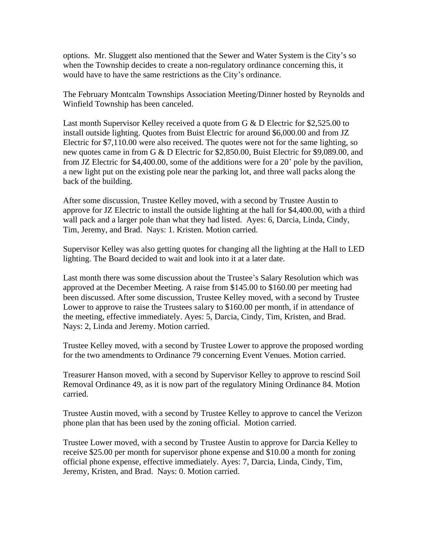options. Mr. Sluggett also mentioned that the Sewer and Water System is the City's so when the Township decides to create a non-regulatory ordinance concerning this, it would have to have the same restrictions as the City's ordinance.

The February Montcalm Townships Association Meeting/Dinner hosted by Reynolds and Winfield Township has been canceled.

Last month Supervisor Kelley received a quote from G & D Electric for \$2,525.00 to install outside lighting. Quotes from Buist Electric for around \$6,000.00 and from JZ Electric for \$7,110.00 were also received. The quotes were not for the same lighting, so new quotes came in from G & D Electric for \$2,850.00, Buist Electric for \$9,089.00, and from JZ Electric for \$4,400.00, some of the additions were for a 20' pole by the pavilion, a new light put on the existing pole near the parking lot, and three wall packs along the back of the building.

After some discussion, Trustee Kelley moved, with a second by Trustee Austin to approve for JZ Electric to install the outside lighting at the hall for \$4,400.00, with a third wall pack and a larger pole than what they had listed. Ayes: 6, Darcia, Linda, Cindy, Tim, Jeremy, and Brad. Nays: 1. Kristen. Motion carried.

Supervisor Kelley was also getting quotes for changing all the lighting at the Hall to LED lighting. The Board decided to wait and look into it at a later date.

Last month there was some discussion about the Trustee's Salary Resolution which was approved at the December Meeting. A raise from \$145.00 to \$160.00 per meeting had been discussed. After some discussion, Trustee Kelley moved, with a second by Trustee Lower to approve to raise the Trustees salary to \$160.00 per month, if in attendance of the meeting, effective immediately. Ayes: 5, Darcia, Cindy, Tim, Kristen, and Brad. Nays: 2, Linda and Jeremy. Motion carried.

Trustee Kelley moved, with a second by Trustee Lower to approve the proposed wording for the two amendments to Ordinance 79 concerning Event Venues. Motion carried.

Treasurer Hanson moved, with a second by Supervisor Kelley to approve to rescind Soil Removal Ordinance 49, as it is now part of the regulatory Mining Ordinance 84. Motion carried.

Trustee Austin moved, with a second by Trustee Kelley to approve to cancel the Verizon phone plan that has been used by the zoning official. Motion carried.

Trustee Lower moved, with a second by Trustee Austin to approve for Darcia Kelley to receive \$25.00 per month for supervisor phone expense and \$10.00 a month for zoning official phone expense, effective immediately. Ayes: 7, Darcia, Linda, Cindy, Tim, Jeremy, Kristen, and Brad. Nays: 0. Motion carried.